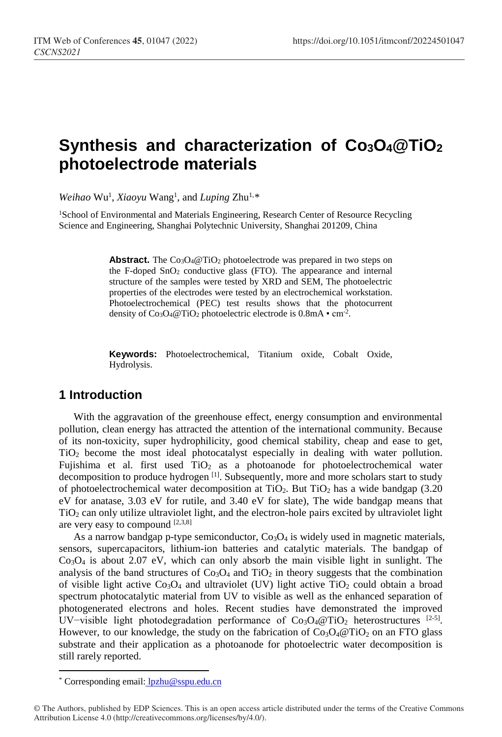# **Synthesis and characterization of Co3O4@TiO2 photoelectrode materials**

Weihao Wu<sup>1</sup>, Xiaoyu Wang<sup>1</sup>, and *Luping* Zhu<sup>1,[\\*](#page-0-0)</sup>

<sup>1</sup>School of Environmental and Materials Engineering, Research Center of Resource Recycling Science and Engineering, Shanghai Polytechnic University, Shanghai 201209, China

> **Abstract.** The  $Co<sub>3</sub>O<sub>4</sub>@TiO<sub>2</sub>$  photoelectrode was prepared in two steps on the F-doped  $SnO<sub>2</sub>$  conductive glass (FTO). The appearance and internal structure of the samples were tested by XRD and SEM, The photoelectric properties of the electrodes were tested by an electrochemical workstation. Photoelectrochemical (PEC) test results shows that the photocurrent density of  $Co<sub>3</sub>O<sub>4</sub>@TiO<sub>2</sub>$  photoelectric electrode is 0.8mA  $\cdot$  cm<sup>-2</sup>.

> **Keywords:** Photoelectrochemical, Titanium oxide, Cobalt Oxide, Hydrolysis.

## **1 Introduction**

With the aggravation of the greenhouse effect, energy consumption and environmental pollution, clean energy has attracted the attention of the international community. Because of its non-toxicity, super hydrophilicity, good chemical stability, cheap and ease to get, TiO2 become the most ideal photocatalyst especially in dealing with water pollution. Fujishima et al. first used  $TiO<sub>2</sub>$  as a photoanode for photoelectrochemical water decomposition to produce hydrogen<sup>[1]</sup>. Subsequently, more and more scholars start to study of photoelectrochemical water decomposition at  $TiO<sub>2</sub>$ . But  $TiO<sub>2</sub>$  has a wide bandgap (3.20) eV for anatase, 3.03 eV for rutile, and 3.40 eV for slate), The wide bandgap means that TiO2 can only utilize ultraviolet light, and the electron-hole pairs excited by ultraviolet light are very easy to compound  $[2,3,8]$ 

As a narrow bandgap p-type semiconductor,  $Co<sub>3</sub>O<sub>4</sub>$  is widely used in magnetic materials, sensors, supercapacitors, lithium-ion batteries and catalytic materials. The bandgap of  $Co<sub>3</sub>O<sub>4</sub>$  is about 2.07 eV, which can only absorb the main visible light in sunlight. The analysis of the band structures of  $Co<sub>3</sub>O<sub>4</sub>$  and  $TiO<sub>2</sub>$  in theory suggests that the combination of visible light active  $Co<sub>3</sub>O<sub>4</sub>$  and ultraviolet (UV) light active TiO<sub>2</sub> could obtain a broad spectrum photocatalytic material from UV to visible as well as the enhanced separation of photogenerated electrons and holes. Recent studies have demonstrated the improved UV-visible light photodegradation performance of  $Co_3O_4@TiO_2$  heterostructures  $[2-5]$ . However, to our knowledge, the study on the fabrication of  $Co<sub>3</sub>O<sub>4</sub>@TiO<sub>2</sub>$  on an FTO glass substrate and their application as a photoanode for photoelectric water decomposition is still rarely reported.

 $\overline{a}$ 

<sup>\*</sup> Corresponding email: lpzhu@sspu.edu.cn

<span id="page-0-0"></span><sup>©</sup> The Authors, published by EDP Sciences. This is an open access article distributed under the terms of the Creative Commons Attribution License 4.0 (http://creativecommons.org/licenses/by/4.0/).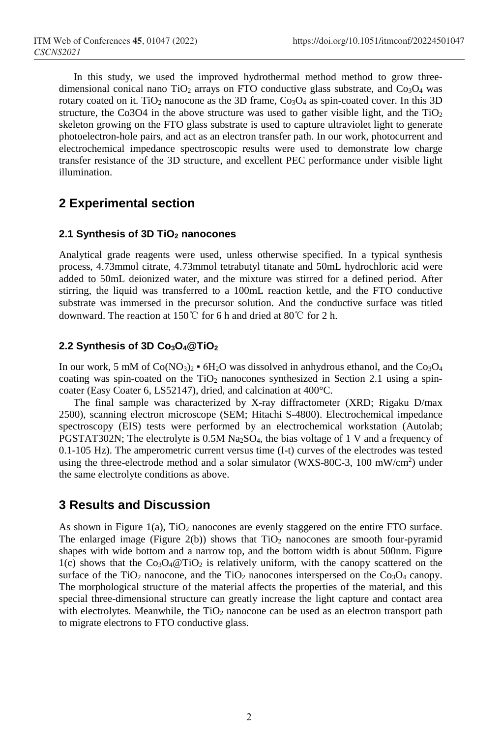In this study, we used the improved hydrothermal method method to grow threedimensional conical nano TiO<sub>2</sub> arrays on FTO conductive glass substrate, and  $Co<sub>3</sub>O<sub>4</sub>$  was rotary coated on it. TiO<sub>2</sub> nanocone as the 3D frame,  $Co<sub>3</sub>O<sub>4</sub>$  as spin-coated cover. In this 3D structure, the Co3O4 in the above structure was used to gather visible light, and the  $TiO<sub>2</sub>$ skeleton growing on the FTO glass substrate is used to capture ultraviolet light to generate photoelectron-hole pairs, and act as an electron transfer path. In our work, photocurrent and electrochemical impedance spectroscopic results were used to demonstrate low charge transfer resistance of the 3D structure, and excellent PEC performance under visible light illumination.

## **2 Experimental section**

#### **2.1 Synthesis of 3D TiO2 nanocones**

Analytical grade reagents were used, unless otherwise specified. In a typical synthesis process, 4.73mmol citrate, 4.73mmol tetrabutyl titanate and 50mL hydrochloric acid were added to 50mL deionized water, and the mixture was stirred for a defined period. After stirring, the liquid was transferred to a 100mL reaction kettle, and the FTO conductive substrate was immersed in the precursor solution. And the conductive surface was titled downward. The reaction at 150℃ for 6 h and dried at 80℃ for 2 h.

#### **2.2 Synthesis of 3D Co3O4@TiO2**

In our work, 5 mM of  $Co(NO<sub>3</sub>)<sub>2</sub>$  • 6H<sub>2</sub>O was dissolved in anhydrous ethanol, and the Co<sub>3</sub>O<sub>4</sub> coating was spin-coated on the  $TiO<sub>2</sub>$  nanocones synthesized in Section 2.1 using a spincoater (Easy Coater 6, LS52147), dried, and calcination at 400°C.

The final sample was characterized by X-ray diffractometer (XRD; Rigaku D/max 2500), scanning electron microscope (SEM; Hitachi S-4800). Electrochemical impedance spectroscopy (EIS) tests were performed by an electrochemical workstation (Autolab; PGSTAT302N; The electrolyte is 0.5M Na<sub>2</sub>SO<sub>4</sub>, the bias voltage of 1 V and a frequency of 0.1-105 Hz). The amperometric current versus time (I-t) curves of the electrodes was tested using the three-electrode method and a solar simulator (WXS-80C-3, 100 mW/cm<sup>2</sup>) under the same electrolyte conditions as above.

## **3 Results and Discussion**

As shown in Figure 1(a),  $TiO<sub>2</sub>$  nanocones are evenly staggered on the entire FTO surface. The enlarged image (Figure 2(b)) shows that  $TiO<sub>2</sub>$  nanocones are smooth four-pyramid shapes with wide bottom and a narrow top, and the bottom width is about 500nm. Figure  $1(c)$  shows that the Co<sub>3</sub>O<sub>4</sub>@TiO<sub>2</sub> is relatively uniform, with the canopy scattered on the surface of the TiO<sub>2</sub> nanocone, and the TiO<sub>2</sub> nanocones interspersed on the Co<sub>3</sub>O<sub>4</sub> canopy. The morphological structure of the material affects the properties of the material, and this special three-dimensional structure can greatly increase the light capture and contact area with electrolytes. Meanwhile, the  $TiO<sub>2</sub>$  nanocone can be used as an electron transport path to migrate electrons to FTO conductive glass.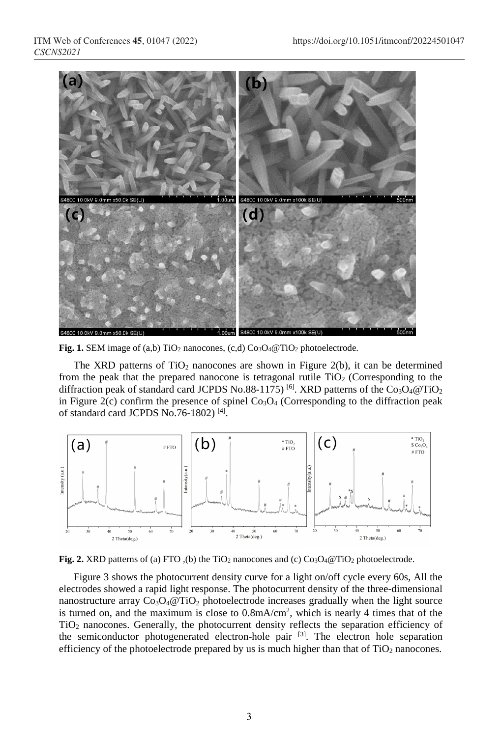

**Fig. 1.** SEM image of (a,b) TiO2 nanocones, (c,d) Co3O4@TiO2 photoelectrode.

The XRD patterns of  $TiO<sub>2</sub>$  nanocones are shown in Figure 2(b), it can be determined from the peak that the prepared nanocone is tetragonal rutile  $TiO<sub>2</sub>$  (Corresponding to the diffraction peak of standard card JCPDS No.88-1175)<sup>[6]</sup>. XRD patterns of the  $Co<sub>3</sub>O<sub>4</sub>@TiO<sub>2</sub>$ in Figure 2(c) confirm the presence of spinel  $Co<sub>3</sub>O<sub>4</sub>$  (Corresponding to the diffraction peak of standard card JCPDS No.76-1802) [4].



**Fig. 2.** XRD patterns of (a) FTO (b) the TiO<sub>2</sub> nanocones and (c) Co<sub>3</sub>O<sub>4</sub>@TiO<sub>2</sub> photoelectrode.

Figure 3 shows the photocurrent density curve for a light on/off cycle every 60s, All the electrodes showed a rapid light response. The photocurrent density of the three-dimensional nanostructure array  $Co<sub>3</sub>O<sub>4</sub>@TiO<sub>2</sub>$  photoelectrode increases gradually when the light source is turned on, and the maximum is close to  $0.8 \text{mA/cm}^2$ , which is nearly 4 times that of the TiO2 nanocones. Generally, the photocurrent density reflects the separation efficiency of the semiconductor photogenerated electron-hole pair  $[3]$ . The electron hole separation efficiency of the photoelectrode prepared by us is much higher than that of  $TiO<sub>2</sub>$  nanocones.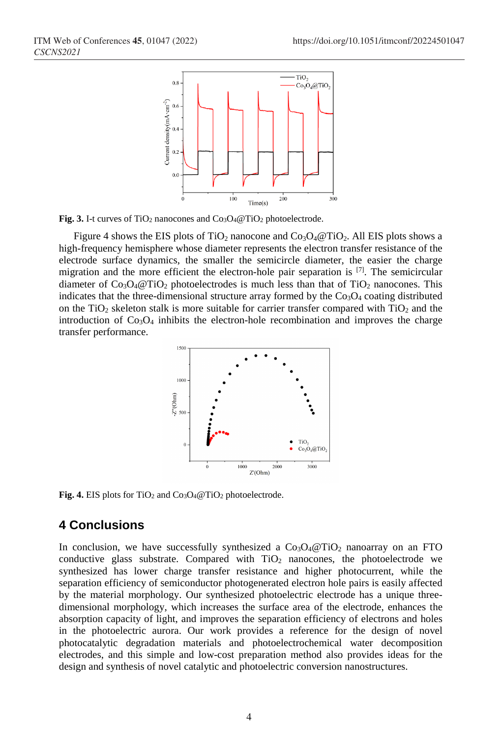

Fig. 3. I-t curves of TiO<sub>2</sub> nanocones and Co<sub>3</sub>O<sub>4</sub>@TiO<sub>2</sub> photoelectrode.

Figure 4 shows the EIS plots of TiO<sub>2</sub> nanocone and  $Co_3O_4@TiO_2$ . All EIS plots shows a high-frequency hemisphere whose diameter represents the electron transfer resistance of the electrode surface dynamics, the smaller the semicircle diameter, the easier the charge migration and the more efficient the electron-hole pair separation is  $[7]$ . The semicircular diameter of  $Co<sub>3</sub>O<sub>4</sub>@TiO<sub>2</sub>$  photoelectrodes is much less than that of TiO<sub>2</sub> nanocones. This indicates that the three-dimensional structure array formed by the  $Co<sub>3</sub>O<sub>4</sub>$  coating distributed on the TiO<sub>2</sub> skeleton stalk is more suitable for carrier transfer compared with  $TiO<sub>2</sub>$  and the introduction of Co3O4 inhibits the electron-hole recombination and improves the charge transfer performance.



**Fig. 4.** EIS plots for TiO2 and Co3O4@TiO2 photoelectrode.

### **4 Conclusions**

In conclusion, we have successfully synthesized a  $Co<sub>3</sub>O<sub>4</sub>@TiO<sub>2</sub>$  nanoarray on an FTO conductive glass substrate. Compared with  $TiO<sub>2</sub>$  nanocones, the photoelectrode we synthesized has lower charge transfer resistance and higher photocurrent, while the separation efficiency of semiconductor photogenerated electron hole pairs is easily affected by the material morphology. Our synthesized photoelectric electrode has a unique threedimensional morphology, which increases the surface area of the electrode, enhances the absorption capacity of light, and improves the separation efficiency of electrons and holes in the photoelectric aurora. Our work provides a reference for the design of novel photocatalytic degradation materials and photoelectrochemical water decomposition electrodes, and this simple and low-cost preparation method also provides ideas for the design and synthesis of novel catalytic and photoelectric conversion nanostructures.